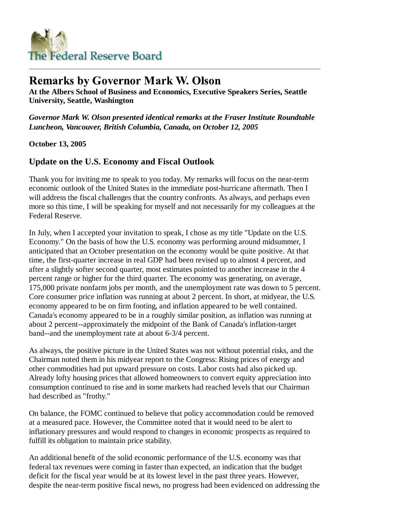

## **Remarks by Governor Mark W. Olson**

**At the Albers School of Business and Economics, Executive Speakers Series, Seattle University, Seattle, Washington**

*Governor Mark W. Olson presented identical remarks at the Fraser Institute Roundtable Luncheon, Vancouver, British Columbia, Canada, on October 12, 2005*

**October 13, 2005**

## **Update on the U.S. Economy and Fiscal Outlook**

Thank you for inviting me to speak to you today. My remarks will focus on the near-term economic outlook of the United States in the immediate post-hurricane aftermath. Then I will address the fiscal challenges that the country confronts. As always, and perhaps even more so this time, I will be speaking for myself and not necessarily for my colleagues at the Federal Reserve.

In July, when I accepted your invitation to speak, I chose as my title "Update on the U.S. Economy." On the basis of how the U.S. economy was performing around midsummer, I anticipated that an October presentation on the economy would be quite positive. At that time, the first-quarter increase in real GDP had been revised up to almost 4 percent, and after a slightly softer second quarter, most estimates pointed to another increase in the 4 percent range or higher for the third quarter. The economy was generating, on average, 175,000 private nonfarm jobs per month, and the unemployment rate was down to 5 percent. Core consumer price inflation was running at about 2 percent. In short, at midyear, the U.S. economy appeared to be on firm footing, and inflation appeared to be well contained. Canada's economy appeared to be in a roughly similar position, as inflation was running at about 2 percent--approximately the midpoint of the Bank of Canada's inflation-target band--and the unemployment rate at about 6-3/4 percent.

As always, the positive picture in the United States was not without potential risks, and the Chairman noted them in his midyear report to the Congress: Rising prices of energy and other commodities had put upward pressure on costs. Labor costs had also picked up. Already lofty housing prices that allowed homeowners to convert equity appreciation into consumption continued to rise and in some markets had reached levels that our Chairman had described as "frothy."

On balance, the FOMC continued to believe that policy accommodation could be removed at a measured pace. However, the Committee noted that it would need to be alert to inflationary pressures and would respond to changes in economic prospects as required to fulfill its obligation to maintain price stability.

An additional benefit of the solid economic performance of the U.S. economy was that federal tax revenues were coming in faster than expected, an indication that the budget deficit for the fiscal year would be at its lowest level in the past three years. However, despite the near-term positive fiscal news, no progress had been evidenced on addressing the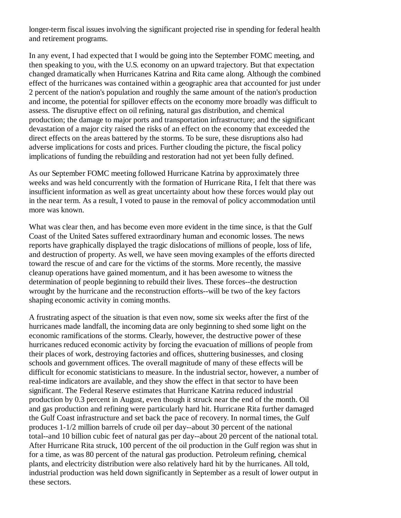longer-term fiscal issues involving the significant projected rise in spending for federal health and retirement programs.

In any event, I had expected that I would be going into the September FOMC meeting, and then speaking to you, with the U.S. economy on an upward trajectory. But that expectation changed dramatically when Hurricanes Katrina and Rita came along. Although the combined effect of the hurricanes was contained within a geographic area that accounted for just under 2 percent of the nation's population and roughly the same amount of the nation's production and income, the potential for spillover effects on the economy more broadly was difficult to assess. The disruptive effect on oil refining, natural gas distribution, and chemical production; the damage to major ports and transportation infrastructure; and the significant devastation of a major city raised the risks of an effect on the economy that exceeded the direct effects on the areas battered by the storms. To be sure, these disruptions also had adverse implications for costs and prices. Further clouding the picture, the fiscal policy implications of funding the rebuilding and restoration had not yet been fully defined.

As our September FOMC meeting followed Hurricane Katrina by approximately three weeks and was held concurrently with the formation of Hurricane Rita, I felt that there was insufficient information as well as great uncertainty about how these forces would play out in the near term. As a result, I voted to pause in the removal of policy accommodation until more was known.

What was clear then, and has become even more evident in the time since, is that the Gulf Coast of the United Sates suffered extraordinary human and economic losses. The news reports have graphically displayed the tragic dislocations of millions of people, loss of life, and destruction of property. As well, we have seen moving examples of the efforts directed toward the rescue of and care for the victims of the storms. More recently, the massive cleanup operations have gained momentum, and it has been awesome to witness the determination of people beginning to rebuild their lives. These forces--the destruction wrought by the hurricane and the reconstruction efforts--will be two of the key factors shaping economic activity in coming months.

A frustrating aspect of the situation is that even now, some six weeks after the first of the hurricanes made landfall, the incoming data are only beginning to shed some light on the economic ramifications of the storms. Clearly, however, the destructive power of these hurricanes reduced economic activity by forcing the evacuation of millions of people from their places of work, destroying factories and offices, shuttering businesses, and closing schools and government offices. The overall magnitude of many of these effects will be difficult for economic statisticians to measure. In the industrial sector, however, a number of real-time indicators are available, and they show the effect in that sector to have been significant. The Federal Reserve estimates that Hurricane Katrina reduced industrial production by 0.3 percent in August, even though it struck near the end of the month. Oil and gas production and refining were particularly hard hit. Hurricane Rita further damaged the Gulf Coast infrastructure and set back the pace of recovery. In normal times, the Gulf produces 1-1/2 million barrels of crude oil per day--about 30 percent of the national total--and 10 billion cubic feet of natural gas per day--about 20 percent of the national total. After Hurricane Rita struck, 100 percent of the oil production in the Gulf region was shut in for a time, as was 80 percent of the natural gas production. Petroleum refining, chemical plants, and electricity distribution were also relatively hard hit by the hurricanes. All told, industrial production was held down significantly in September as a result of lower output in these sectors.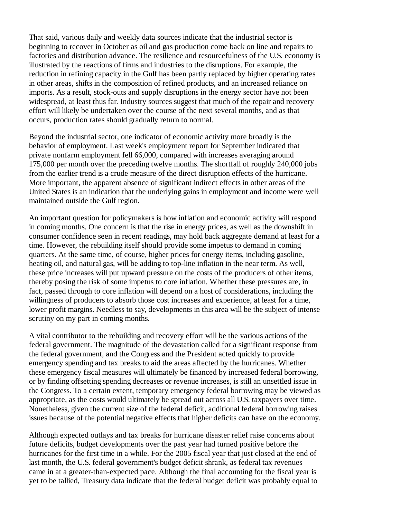That said, various daily and weekly data sources indicate that the industrial sector is beginning to recover in October as oil and gas production come back on line and repairs to factories and distribution advance. The resilience and resourcefulness of the U.S. economy is illustrated by the reactions of firms and industries to the disruptions. For example, the reduction in refining capacity in the Gulf has been partly replaced by higher operating rates in other areas, shifts in the composition of refined products, and an increased reliance on imports. As a result, stock-outs and supply disruptions in the energy sector have not been widespread, at least thus far. Industry sources suggest that much of the repair and recovery effort will likely be undertaken over the course of the next several months, and as that occurs, production rates should gradually return to normal.

Beyond the industrial sector, one indicator of economic activity more broadly is the behavior of employment. Last week's employment report for September indicated that private nonfarm employment fell 66,000, compared with increases averaging around 175,000 per month over the preceding twelve months. The shortfall of roughly 240,000 jobs from the earlier trend is a crude measure of the direct disruption effects of the hurricane. More important, the apparent absence of significant indirect effects in other areas of the United States is an indication that the underlying gains in employment and income were well maintained outside the Gulf region.

An important question for policymakers is how inflation and economic activity will respond in coming months. One concern is that the rise in energy prices, as well as the downshift in consumer confidence seen in recent readings, may hold back aggregate demand at least for a time. However, the rebuilding itself should provide some impetus to demand in coming quarters. At the same time, of course, higher prices for energy items, including gasoline, heating oil, and natural gas, will be adding to top-line inflation in the near term. As well, these price increases will put upward pressure on the costs of the producers of other items, thereby posing the risk of some impetus to core inflation. Whether these pressures are, in fact, passed through to core inflation will depend on a host of considerations, including the willingness of producers to absorb those cost increases and experience, at least for a time, lower profit margins. Needless to say, developments in this area will be the subject of intense scrutiny on my part in coming months.

A vital contributor to the rebuilding and recovery effort will be the various actions of the federal government. The magnitude of the devastation called for a significant response from the federal government, and the Congress and the President acted quickly to provide emergency spending and tax breaks to aid the areas affected by the hurricanes. Whether these emergency fiscal measures will ultimately be financed by increased federal borrowing, or by finding offsetting spending decreases or revenue increases, is still an unsettled issue in the Congress. To a certain extent, temporary emergency federal borrowing may be viewed as appropriate, as the costs would ultimately be spread out across all U.S. taxpayers over time. Nonetheless, given the current size of the federal deficit, additional federal borrowing raises issues because of the potential negative effects that higher deficits can have on the economy.

Although expected outlays and tax breaks for hurricane disaster relief raise concerns about future deficits, budget developments over the past year had turned positive before the hurricanes for the first time in a while. For the 2005 fiscal year that just closed at the end of last month, the U.S. federal government's budget deficit shrank, as federal tax revenues came in at a greater-than-expected pace. Although the final accounting for the fiscal year is yet to be tallied, Treasury data indicate that the federal budget deficit was probably equal to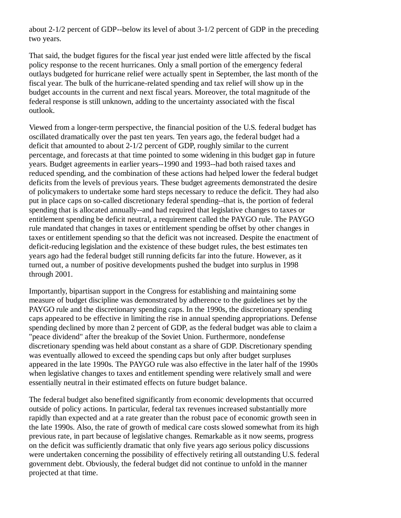about 2-1/2 percent of GDP--below its level of about 3-1/2 percent of GDP in the preceding two years.

That said, the budget figures for the fiscal year just ended were little affected by the fiscal policy response to the recent hurricanes. Only a small portion of the emergency federal outlays budgeted for hurricane relief were actually spent in September, the last month of the fiscal year. The bulk of the hurricane-related spending and tax relief will show up in the budget accounts in the current and next fiscal years. Moreover, the total magnitude of the federal response is still unknown, adding to the uncertainty associated with the fiscal outlook.

Viewed from a longer-term perspective, the financial position of the U.S. federal budget has oscillated dramatically over the past ten years. Ten years ago, the federal budget had a deficit that amounted to about 2-1/2 percent of GDP, roughly similar to the current percentage, and forecasts at that time pointed to some widening in this budget gap in future years. Budget agreements in earlier years--1990 and 1993--had both raised taxes and reduced spending, and the combination of these actions had helped lower the federal budget deficits from the levels of previous years. These budget agreements demonstrated the desire of policymakers to undertake some hard steps necessary to reduce the deficit. They had also put in place caps on so-called discretionary federal spending--that is, the portion of federal spending that is allocated annually--and had required that legislative changes to taxes or entitlement spending be deficit neutral, a requirement called the PAYGO rule. The PAYGO rule mandated that changes in taxes or entitlement spending be offset by other changes in taxes or entitlement spending so that the deficit was not increased. Despite the enactment of deficit-reducing legislation and the existence of these budget rules, the best estimates ten years ago had the federal budget still running deficits far into the future. However, as it turned out, a number of positive developments pushed the budget into surplus in 1998 through 2001.

Importantly, bipartisan support in the Congress for establishing and maintaining some measure of budget discipline was demonstrated by adherence to the guidelines set by the PAYGO rule and the discretionary spending caps. In the 1990s, the discretionary spending caps appeared to be effective in limiting the rise in annual spending appropriations. Defense spending declined by more than 2 percent of GDP, as the federal budget was able to claim a "peace dividend" after the breakup of the Soviet Union. Furthermore, nondefense discretionary spending was held about constant as a share of GDP. Discretionary spending was eventually allowed to exceed the spending caps but only after budget surpluses appeared in the late 1990s. The PAYGO rule was also effective in the later half of the 1990s when legislative changes to taxes and entitlement spending were relatively small and were essentially neutral in their estimated effects on future budget balance.

The federal budget also benefited significantly from economic developments that occurred outside of policy actions. In particular, federal tax revenues increased substantially more rapidly than expected and at a rate greater than the robust pace of economic growth seen in the late 1990s. Also, the rate of growth of medical care costs slowed somewhat from its high previous rate, in part because of legislative changes. Remarkable as it now seems, progress on the deficit was sufficiently dramatic that only five years ago serious policy discussions were undertaken concerning the possibility of effectively retiring all outstanding U.S. federal government debt. Obviously, the federal budget did not continue to unfold in the manner projected at that time.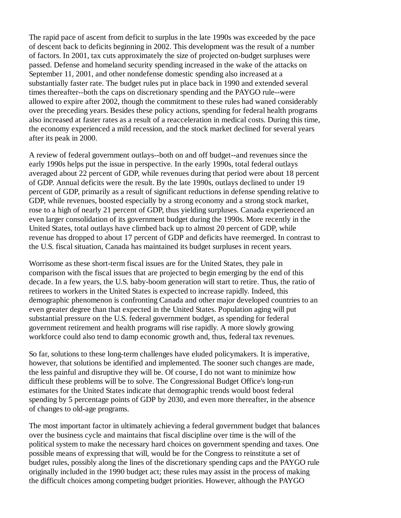The rapid pace of ascent from deficit to surplus in the late 1990s was exceeded by the pace of descent back to deficits beginning in 2002. This development was the result of a number of factors. In 2001, tax cuts approximately the size of projected on-budget surpluses were passed. Defense and homeland security spending increased in the wake of the attacks on September 11, 2001, and other nondefense domestic spending also increased at a substantially faster rate. The budget rules put in place back in 1990 and extended several times thereafter--both the caps on discretionary spending and the PAYGO rule--were allowed to expire after 2002, though the commitment to these rules had waned considerably over the preceding years. Besides these policy actions, spending for federal health programs also increased at faster rates as a result of a reacceleration in medical costs. During this time, the economy experienced a mild recession, and the stock market declined for several years after its peak in 2000.

A review of federal government outlays--both on and off budget--and revenues since the early 1990s helps put the issue in perspective. In the early 1990s, total federal outlays averaged about 22 percent of GDP, while revenues during that period were about 18 percent of GDP. Annual deficits were the result. By the late 1990s, outlays declined to under 19 percent of GDP, primarily as a result of significant reductions in defense spending relative to GDP, while revenues, boosted especially by a strong economy and a strong stock market, rose to a high of nearly 21 percent of GDP, thus yielding surpluses. Canada experienced an even larger consolidation of its government budget during the 1990s. More recently in the United States, total outlays have climbed back up to almost 20 percent of GDP, while revenue has dropped to about 17 percent of GDP and deficits have reemerged. In contrast to the U.S. fiscal situation, Canada has maintained its budget surpluses in recent years.

Worrisome as these short-term fiscal issues are for the United States, they pale in comparison with the fiscal issues that are projected to begin emerging by the end of this decade. In a few years, the U.S. baby-boom generation will start to retire. Thus, the ratio of retirees to workers in the United States is expected to increase rapidly. Indeed, this demographic phenomenon is confronting Canada and other major developed countries to an even greater degree than that expected in the United States. Population aging will put substantial pressure on the U.S. federal government budget, as spending for federal government retirement and health programs will rise rapidly. A more slowly growing workforce could also tend to damp economic growth and, thus, federal tax revenues.

So far, solutions to these long-term challenges have eluded policymakers. It is imperative, however, that solutions be identified and implemented. The sooner such changes are made, the less painful and disruptive they will be. Of course, I do not want to minimize how difficult these problems will be to solve. The Congressional Budget Office's long-run estimates for the United States indicate that demographic trends would boost federal spending by 5 percentage points of GDP by 2030, and even more thereafter, in the absence of changes to old-age programs.

The most important factor in ultimately achieving a federal government budget that balances over the business cycle and maintains that fiscal discipline over time is the will of the political system to make the necessary hard choices on government spending and taxes. One possible means of expressing that will, would be for the Congress to reinstitute a set of budget rules, possibly along the lines of the discretionary spending caps and the PAYGO rule originally included in the 1990 budget act; these rules may assist in the process of making the difficult choices among competing budget priorities. However, although the PAYGO